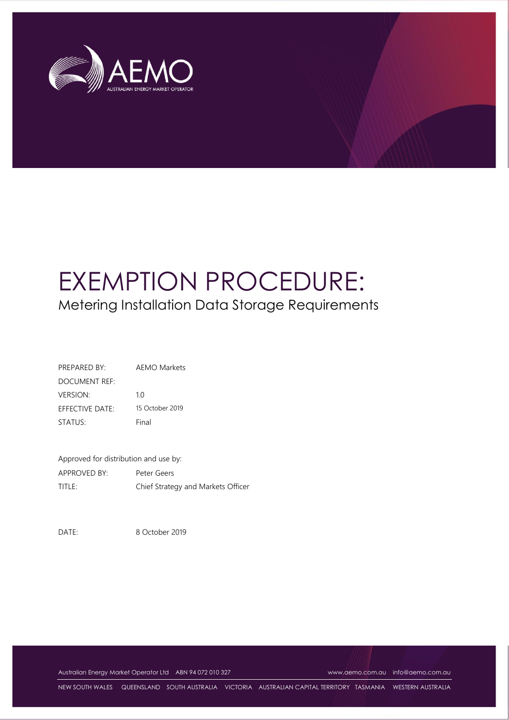

# EXEMPTION PROCEDURE: Metering Installation Data Storage Requirements

| PREPARED BY:           | AFMO Markets    |
|------------------------|-----------------|
| DOCUMENT REF:          |                 |
| <b>VERSION</b>         | 10              |
| <b>EFFECTIVE DATE:</b> | 15 October 2019 |
| STATUS:                | Final           |

Approved for distribution and use by: APPROVED BY: Peter Geers TITLE: Chief Strategy and Markets Officer

DATE: 8 October 2019

Australian Energy Market Operator Ltd ABN 94 072 010 327 [www.aemo.com.au](http://www.aemo.com.au/) [info@aemo.com.au](mailto:info@aemo.com.au)

NEW SOUTH WALES QUEENSLAND SOUTH AUSTRALIA VICTORIA AUSTRALIAN CAPITAL TERRITORY TASMANIA WESTERN AUSTRALIA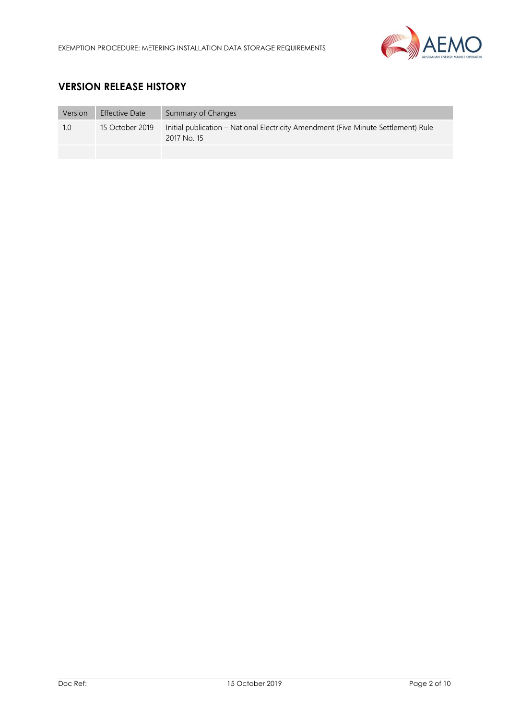

# **VERSION RELEASE HISTORY**

| Version | <b>Effective Date</b> | Summary of Changes                                                                                |
|---------|-----------------------|---------------------------------------------------------------------------------------------------|
| 1.0     | 15 October 2019       | Initial publication – National Electricity Amendment (Five Minute Settlement) Rule<br>2017 No. 15 |
|         |                       |                                                                                                   |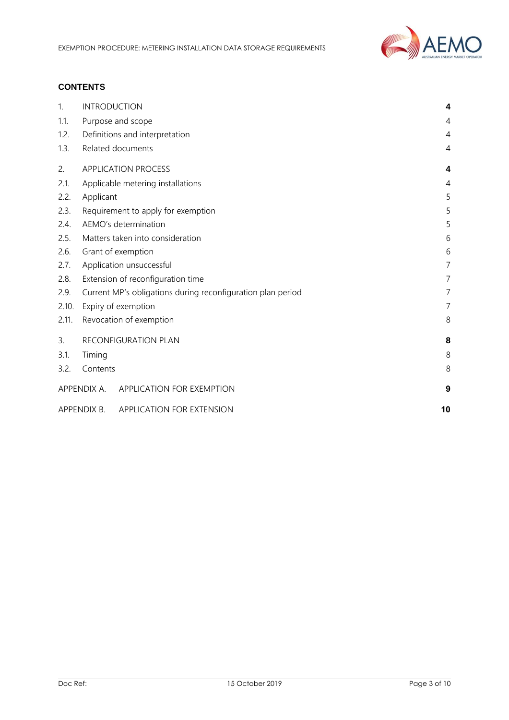

## **CONTENTS**

| 1.    | <b>INTRODUCTION</b>                                         | 4              |
|-------|-------------------------------------------------------------|----------------|
| 1.1.  | Purpose and scope                                           | 4              |
| 1.2.  | Definitions and interpretation                              | 4              |
| 1.3.  | Related documents                                           | 4              |
| 2.    | <b>APPLICATION PROCESS</b>                                  | 4              |
| 2.1.  | Applicable metering installations                           | 4              |
| 2.2.  | Applicant                                                   | 5              |
| 2.3.  | Requirement to apply for exemption                          | 5              |
| 2.4.  | AEMO's determination                                        | 5              |
| 2.5.  | Matters taken into consideration                            | 6              |
| 2.6.  | Grant of exemption                                          | 6              |
| 2.7.  | Application unsuccessful                                    |                |
| 2.8.  | Extension of reconfiguration time                           | $\overline{7}$ |
| 2.9.  | Current MP's obligations during reconfiguration plan period | $\overline{7}$ |
| 2.10. | Expiry of exemption                                         | $\overline{7}$ |
| 2.11. | Revocation of exemption                                     | 8              |
| 3.    | RECONFIGURATION PLAN                                        | 8              |
| 3.1.  | Timing                                                      | 8              |
| 3.2.  | Contents                                                    | 8              |
|       | APPENDIX A. APPLICATION FOR EXEMPTION                       | 9              |
|       | APPENDIX B. APPLICATION FOR EXTENSION                       | 10             |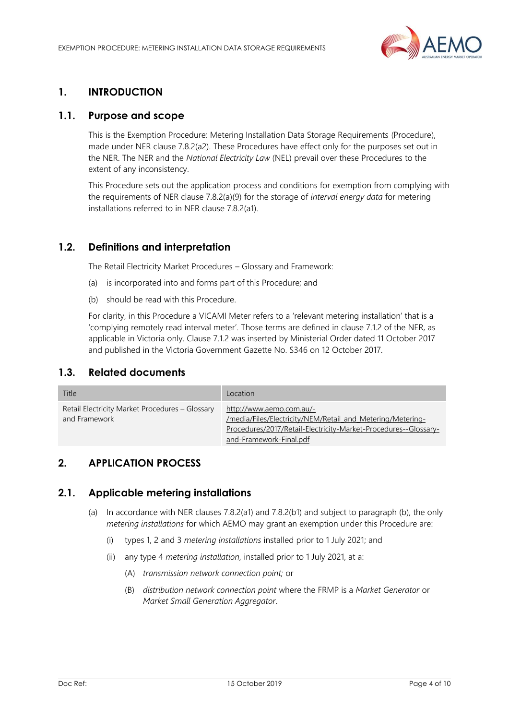

## <span id="page-3-0"></span>**1. INTRODUCTION**

### <span id="page-3-1"></span>**1.1. Purpose and scope**

This is the Exemption Procedure: Metering Installation Data Storage Requirements (Procedure), made under NER clause 7.8.2(a2). These Procedures have effect only for the purposes set out in the NER. The NER and the *National Electricity Law* (NEL) prevail over these Procedures to the extent of any inconsistency.

This Procedure sets out the application process and conditions for exemption from complying with the requirements of NER clause 7.8.2(a)(9) for the storage of *interval energy data* for metering installations referred to in NER clause 7.8.2(a1).

## <span id="page-3-2"></span>**1.2. Definitions and interpretation**

The Retail Electricity Market Procedures – Glossary and Framework:

- (a) is incorporated into and forms part of this Procedure; and
- (b) should be read with this Procedure.

For clarity, in this Procedure a VICAMI Meter refers to a 'relevant metering installation' that is a 'complying remotely read interval meter'. Those terms are defined in clause 7.1.2 of the NER, as applicable in Victoria only. Clause 7.1.2 was inserted by Ministerial Order dated 11 October 2017 and published in the Victoria Government Gazette No. S346 on 12 October 2017.

#### <span id="page-3-3"></span>**1.3. Related documents**

| Title                                                            | Location                                                                                                                                                                             |
|------------------------------------------------------------------|--------------------------------------------------------------------------------------------------------------------------------------------------------------------------------------|
| Retail Electricity Market Procedures - Glossary<br>and Framework | http://www.aemo.com.au/-<br>/media/Files/Electricity/NEM/Retail and Metering/Metering-<br>Procedures/2017/Retail-Electricity-Market-Procedures--Glossary-<br>and-Framework-Final.pdf |

## <span id="page-3-4"></span>**2. APPLICATION PROCESS**

#### <span id="page-3-5"></span>**2.1. Applicable metering installations**

- (a) In accordance with NER clauses 7.8.2(a1) and 7.8.2(b1) and subject to paragraph (b), the only *metering installations* for which AEMO may grant an exemption under this Procedure are:
	- (i) types 1, 2 and 3 *metering installations* installed prior to 1 July 2021; and
	- (ii) any type 4 *metering installation,* installed prior to 1 July 2021, at a:
		- (A) *transmission network connection point;* or
		- (B) *distribution network connection point* where the FRMP is a *Market Generator* or *Market Small Generation Aggregator*.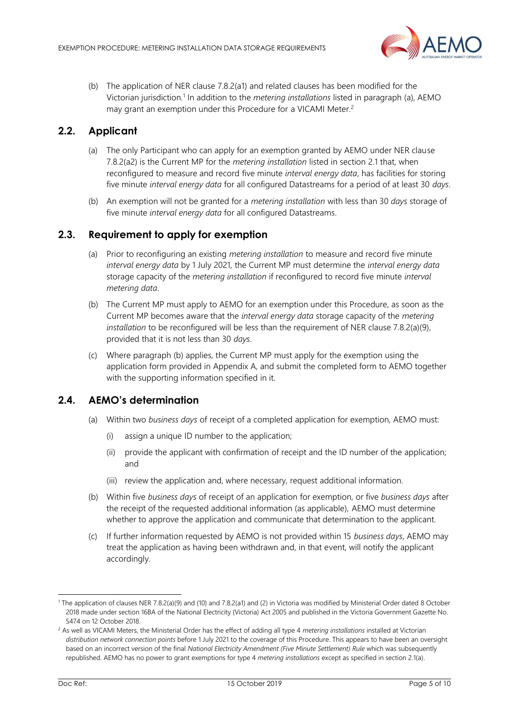

(b) The application of NER clause 7.8.2(a1) and related clauses has been modified for the Victorian jurisdiction.<sup>1</sup> In addition to the *metering installations* listed in paragraph (a), AEMO may grant an exemption under this Procedure for a VICAMI Meter.<sup>2</sup>

## <span id="page-4-0"></span>**2.2. Applicant**

- (a) The only Participant who can apply for an exemption granted by AEMO under NER clause 7.8.2(a2) is the Current MP for the *metering installation* listed in section [2.1](#page-3-5) that, when reconfigured to measure and record five minute *interval energy data*, has facilities for storing five minute *interval energy data* for all configured Datastreams for a period of at least 30 *days*.
- (b) An exemption will not be granted for a *metering installation* with less than 30 *days* storage of five minute *interval energy data* for all configured Datastreams.

## <span id="page-4-1"></span>**2.3. Requirement to apply for exemption**

- (a) Prior to reconfiguring an existing *metering installation* to measure and record five minute *interval energy data* by 1 July 2021, the Current MP must determine the *interval energy data* storage capacity of the *metering installation* if reconfigured to record five minute *interval metering data*.
- (b) The Current MP must apply to AEMO for an exemption under this Procedure, as soon as the Current MP becomes aware that the *interval energy data* storage capacity of the *metering installation* to be reconfigured will be less than the requirement of NER clause 7.8.2(a)(9), provided that it is not less than 30 *days*.
- (c) Where paragraph (b) applies, the Current MP must apply for the exemption using the application form provided in Appendix A, and submit the completed form to AEMO together with the supporting information specified in it.

## <span id="page-4-2"></span>**2.4. AEMO's determination**

- (a) Within two *business days* of receipt of a completed application for exemption, AEMO must:
	- assign a unique ID number to the application;
	- (ii) provide the applicant with confirmation of receipt and the ID number of the application; and
	- (iii) review the application and, where necessary, request additional information.
- (b) Within five *business days* of receipt of an application for exemption, or five *business days* after the receipt of the requested additional information (as applicable), AEMO must determine whether to approve the application and communicate that determination to the applicant.
- (c) If further information requested by AEMO is not provided within 15 *business days*, AEMO may treat the application as having been withdrawn and, in that event, will notify the applicant accordingly.

l

<sup>1</sup> The application of clauses NER 7.8.2(a)(9) and (10) and 7.8.2(a1) and (2) in Victoria was modified by Ministerial Order dated 8 October 2018 made under section 16BA of the National Electricity (Victoria) Act 2005 and published in the Victoria Government Gazette No. S474 on 12 October 2018.

<sup>2</sup> As well as VICAMI Meters, the Ministerial Order has the effect of adding all type 4 *metering installations* installed at Victorian *distribution network connection points* before 1 July 2021 to the coverage of this Procedure. This appears to have been an oversight based on an incorrect version of the final *National Electricity Amendment (Five Minute Settlement) Rule* which was subsequently republished. AEMO has no power to grant exemptions for type 4 *metering installations* except as specified in section 2.1(a).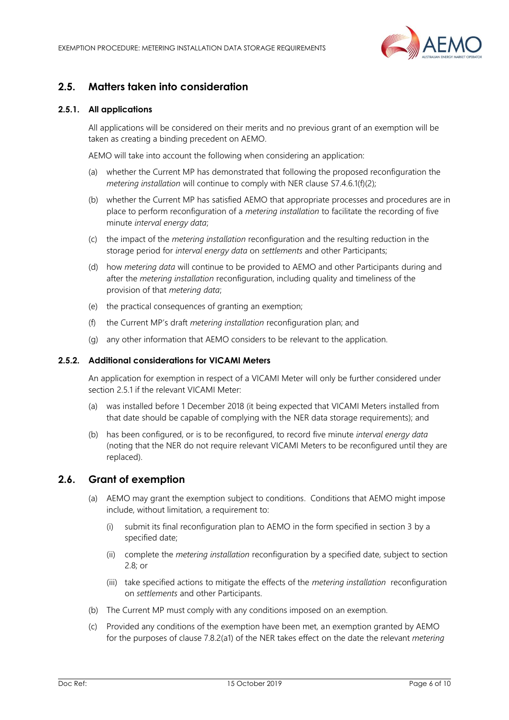

## <span id="page-5-0"></span>**2.5. Matters taken into consideration**

#### <span id="page-5-2"></span>**2.5.1. All applications**

All applications will be considered on their merits and no previous grant of an exemption will be taken as creating a binding precedent on AEMO.

AEMO will take into account the following when considering an application:

- (a) whether the Current MP has demonstrated that following the proposed reconfiguration the *metering installation* will continue to comply with NER clause S7.4.6.1(f)(2);
- (b) whether the Current MP has satisfied AEMO that appropriate processes and procedures are in place to perform reconfiguration of a *metering installation* to facilitate the recording of five minute *interval energy data*;
- (c) the impact of the *metering installation* reconfiguration and the resulting reduction in the storage period for *interval energy data* on *settlements* and other Participants;
- (d) how *metering data* will continue to be provided to AEMO and other Participants during and after the *metering installation* reconfiguration, including quality and timeliness of the provision of that *metering data*;
- (e) the practical consequences of granting an exemption;
- (f) the Current MP's draft *metering installation* reconfiguration plan; and
- (g) any other information that AEMO considers to be relevant to the application.

#### **2.5.2. Additional considerations for VICAMI Meters**

An application for exemption in respect of a VICAMI Meter will only be further considered under section [2.5.1](#page-5-2) if the relevant VICAMI Meter:

- (a) was installed before 1 December 2018 (it being expected that VICAMI Meters installed from that date should be capable of complying with the NER data storage requirements); and
- (b) has been configured, or is to be reconfigured, to record five minute *interval energy data* (noting that the NER do not require relevant VICAMI Meters to be reconfigured until they are replaced).

#### <span id="page-5-1"></span>**2.6. Grant of exemption**

- (a) AEMO may grant the exemption subject to conditions. Conditions that AEMO might impose include, without limitation, a requirement to:
	- (i) submit its final reconfiguration plan to AEMO in the form specified in section 3 by a specified date;
	- (ii) complete the *metering installation* reconfiguration by a specified date, subject to section [2.8;](#page-6-1) or
	- (iii) take specified actions to mitigate the effects of the *metering installation* reconfiguration on *settlements* and other Participants.
- (b) The Current MP must comply with any conditions imposed on an exemption.
- (c) Provided any conditions of the exemption have been met, an exemption granted by AEMO for the purposes of clause 7.8.2(a1) of the NER takes effect on the date the relevant *metering*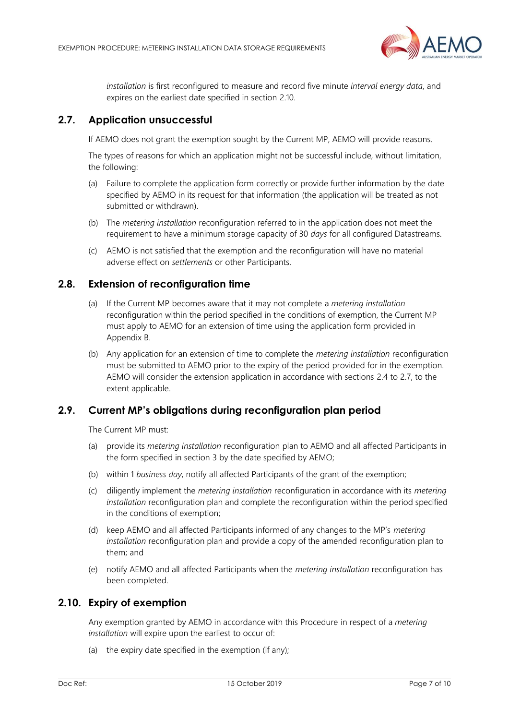

*installation* is first reconfigured to measure and record five minute *interval energy data*, and expires on the earliest date specified in section [2.10.](#page-6-3)

## <span id="page-6-0"></span>**2.7. Application unsuccessful**

If AEMO does not grant the exemption sought by the Current MP, AEMO will provide reasons.

The types of reasons for which an application might not be successful include, without limitation, the following:

- (a) Failure to complete the application form correctly or provide further information by the date specified by AEMO in its request for that information (the application will be treated as not submitted or withdrawn).
- (b) The *metering installation* reconfiguration referred to in the application does not meet the requirement to have a minimum storage capacity of 30 *days* for all configured Datastreams*.*
- (c) AEMO is not satisfied that the exemption and the reconfiguration will have no material adverse effect on *settlements* or other Participants.

## <span id="page-6-1"></span>**2.8. Extension of reconfiguration time**

- (a) If the Current MP becomes aware that it may not complete a *metering installation*  reconfiguration within the period specified in the conditions of exemption, the Current MP must apply to AEMO for an extension of time using the application form provided in Appendix B.
- (b) Any application for an extension of time to complete the *metering installation* reconfiguration must be submitted to AEMO prior to the expiry of the period provided for in the exemption. AEMO will consider the extension application in accordance with sections [2.4](#page-4-2) to [2.7,](#page-6-0) to the extent applicable.

## <span id="page-6-2"></span>**2.9. Current MP's obligations during reconfiguration plan period**

The Current MP must:

- (a) provide its *metering installation* reconfiguration plan to AEMO and all affected Participants in the form specified in section 3 by the date specified by AEMO;
- (b) within 1 *business day*, notify all affected Participants of the grant of the exemption;
- (c) diligently implement the *metering installation* reconfiguration in accordance with its *metering installation* reconfiguration plan and complete the reconfiguration within the period specified in the conditions of exemption;
- <span id="page-6-4"></span>(d) keep AEMO and all affected Participants informed of any changes to the MP's *metering installation* reconfiguration plan and provide a copy of the amended reconfiguration plan to them; and
- (e) notify AEMO and all affected Participants when the *metering installation* reconfiguration has been completed.

## <span id="page-6-3"></span>**2.10. Expiry of exemption**

Any exemption granted by AEMO in accordance with this Procedure in respect of a *metering installation* will expire upon the earliest to occur of:

(a) the expiry date specified in the exemption (if any);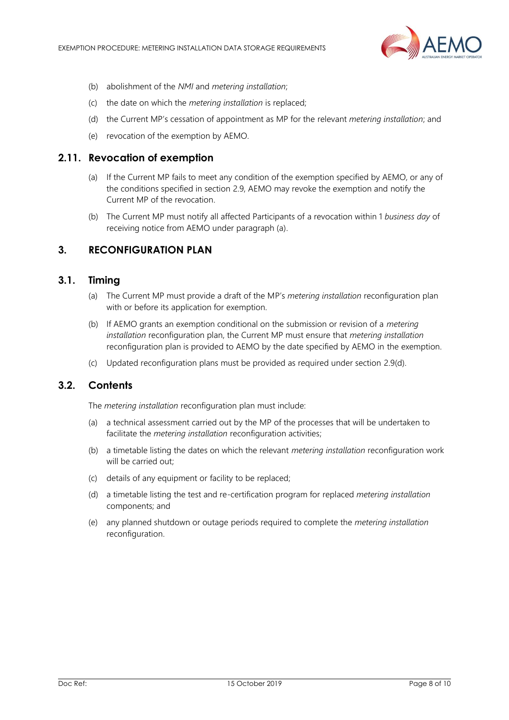

- (b) abolishment of the *NMI* and *metering installation*;
- (c) the date on which the *metering installation* is replaced;
- (d) the Current MP's cessation of appointment as MP for the relevant *metering installation*; and
- (e) revocation of the exemption by AEMO.

#### <span id="page-7-0"></span>**2.11. Revocation of exemption**

- (a) If the Current MP fails to meet any condition of the exemption specified by AEMO, or any of the conditions specified in section [2.9,](#page-6-2) AEMO may revoke the exemption and notify the Current MP of the revocation.
- (b) The Current MP must notify all affected Participants of a revocation within 1 *business day* of receiving notice from AEMO under paragraph (a).

#### <span id="page-7-1"></span>**3. RECONFIGURATION PLAN**

#### <span id="page-7-2"></span>**3.1. Timing**

- (a) The Current MP must provide a draft of the MP's *metering installation* reconfiguration plan with or before its application for exemption.
- (b) If AEMO grants an exemption conditional on the submission or revision of a *metering installation* reconfiguration plan, the Current MP must ensure that *metering installation* reconfiguration plan is provided to AEMO by the date specified by AEMO in the exemption.
- (c) Updated reconfiguration plans must be provided as required under section [2.9](#page-6-2)[\(d\).](#page-6-4)

#### <span id="page-7-3"></span>**3.2. Contents**

The *metering installation* reconfiguration plan must include:

- (a) a technical assessment carried out by the MP of the processes that will be undertaken to facilitate the *metering installation* reconfiguration activities;
- (b) a timetable listing the dates on which the relevant *metering installation* reconfiguration work will be carried out;
- (c) details of any equipment or facility to be replaced;
- (d) a timetable listing the test and re-certification program for replaced *metering installation* components; and
- (e) any planned shutdown or outage periods required to complete the *metering installation* reconfiguration.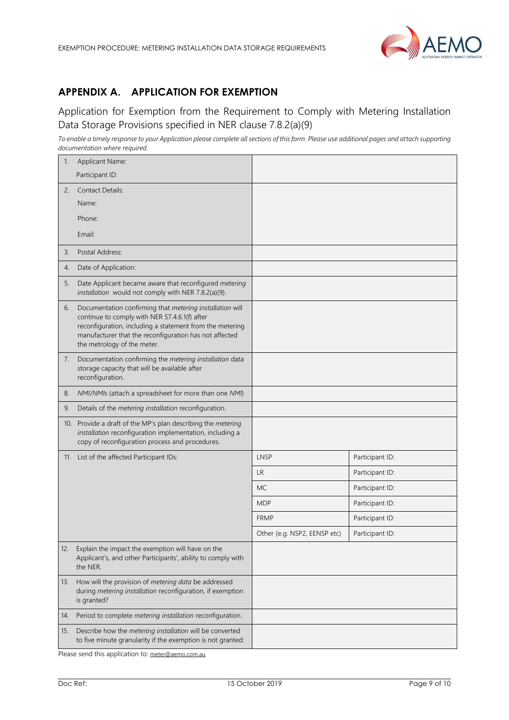

# <span id="page-8-0"></span>**APPENDIX A. APPLICATION FOR EXEMPTION**

## Application for Exemption from the Requirement to Comply with Metering Installation Data Storage Provisions specified in NER clause 7.8.2(a)(9)

*To enable a timely response to your Application please complete all sections of this form. Please use additional pages and attach supporting documentation where required.*

| $\mathbb{1}$ . | Applicant Name:                                                                                                                                                                                                                                                |                              |                 |
|----------------|----------------------------------------------------------------------------------------------------------------------------------------------------------------------------------------------------------------------------------------------------------------|------------------------------|-----------------|
|                | Participant ID:                                                                                                                                                                                                                                                |                              |                 |
| 2.             | <b>Contact Details:</b>                                                                                                                                                                                                                                        |                              |                 |
|                | Name:                                                                                                                                                                                                                                                          |                              |                 |
|                | Phone:                                                                                                                                                                                                                                                         |                              |                 |
|                | Email:                                                                                                                                                                                                                                                         |                              |                 |
| 3.             | Postal Address:                                                                                                                                                                                                                                                |                              |                 |
| 4.             | Date of Application:                                                                                                                                                                                                                                           |                              |                 |
| 5.             | Date Applicant became aware that reconfigured metering<br>installation would not comply with NER 7.8.2(a)(9).                                                                                                                                                  |                              |                 |
| 6.             | Documentation confirming that metering installation will<br>continue to comply with NER S7.4.6.1(f) after<br>reconfiguration, including a statement from the metering<br>manufacturer that the reconfiguration has not affected<br>the metrology of the meter. |                              |                 |
| 7.             | Documentation confirming the metering installation data<br>storage capacity that will be available after<br>reconfiguration.                                                                                                                                   |                              |                 |
| 8.             | NMI/NMIs (attach a spreadsheet for more than one NMI)                                                                                                                                                                                                          |                              |                 |
| 9.             | Details of the metering installation reconfiguration.                                                                                                                                                                                                          |                              |                 |
| 10.            | Provide a draft of the MP's plan describing the metering<br>installation reconfiguration implementation, including a<br>copy of reconfiguration process and procedures.                                                                                        |                              |                 |
| 11.            | List of the affected Participant IDs:                                                                                                                                                                                                                          | <b>LNSP</b>                  | Participant ID: |
|                |                                                                                                                                                                                                                                                                | <b>LR</b>                    | Participant ID: |
|                |                                                                                                                                                                                                                                                                | <b>MC</b>                    | Participant ID: |
|                |                                                                                                                                                                                                                                                                | <b>MDP</b>                   | Participant ID: |
|                |                                                                                                                                                                                                                                                                | <b>FRMP</b>                  | Participant ID: |
|                |                                                                                                                                                                                                                                                                | Other (e.g. NSP2, EENSP etc) | Participant ID: |
| 12.            | Explain the impact the exemption will have on the<br>Applicant's, and other Participants', ability to comply with<br>the NER.                                                                                                                                  |                              |                 |
| 13.            | How will the provision of metering data be addressed<br>during metering installation reconfiguration, if exemption<br>is granted?                                                                                                                              |                              |                 |
| 14.            | Period to complete metering installation reconfiguration.                                                                                                                                                                                                      |                              |                 |
| 15.            | Describe how the metering installation will be converted<br>to five minute granularity if the exemption is not granted:                                                                                                                                        |                              |                 |

Please send this application to: [meter@aemo.com.au](mailto:meter@nemmco.com.au)